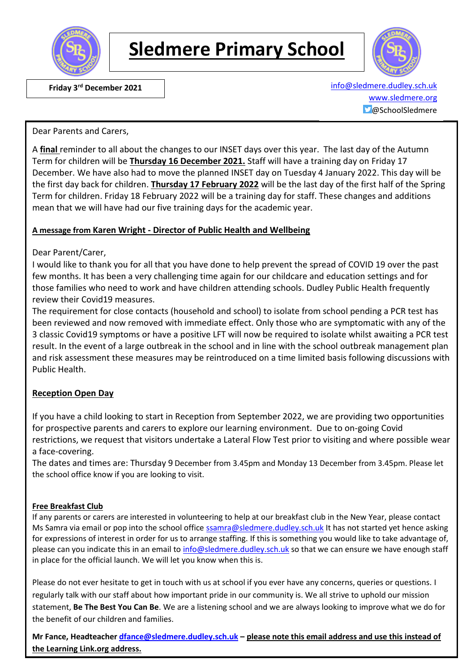

## **Sledmere Primary School**



 **Friday 3rd December 2021** [info@sledmere.dudley.sch.uk](mailto:info@sledmere.dudley.sch.uk) [www.sledmere.org](http://www.sledmere.org/)  $\Box$ @SchoolSledmere

Dear Parents and Carers,

A **final** reminder to all about the changes to our INSET days over this year. The last day of the Autumn Term for children will be **Thursday 16 December 2021.** Staff will have a training day on Friday 17 December. We have also had to move the planned INSET day on Tuesday 4 January 2022. This day will be the first day back for children. **Thursday 17 February 2022** will be the last day of the first half of the Spring Term for children. Friday 18 February 2022 will be a training day for staff. These changes and additions mean that we will have had our five training days for the academic year.

#### **A message from Karen Wright - Director of Public Health and Wellbeing**

Dear Parent/Carer,

I would like to thank you for all that you have done to help prevent the spread of COVID 19 over the past few months. It has been a very challenging time again for our childcare and education settings and for those families who need to work and have children attending schools. Dudley Public Health frequently review their Covid19 measures.

The requirement for close contacts (household and school) to isolate from school pending a PCR test has been reviewed and now removed with immediate effect. Only those who are symptomatic with any of the 3 classic Covid19 symptoms or have a positive LFT will now be required to isolate whilst awaiting a PCR test result. In the event of a large outbreak in the school and in line with the school outbreak management plan and risk assessment these measures may be reintroduced on a time limited basis following discussions with Public Health.

#### **Reception Open Day**

If you have a child looking to start in Reception from September 2022, we are providing two opportunities for prospective parents and carers to explore our learning environment. Due to on-going Covid restrictions, we request that visitors undertake a Lateral Flow Test prior to visiting and where possible wear a face-covering.

The dates and times are: Thursday 9 December from 3.45pm and Monday 13 December from 3.45pm. Please let the school office know if you are looking to visit.

#### **Free Breakfast Club**

If any parents or carers are interested in volunteering to help at our breakfast club in the New Year, please contact Ms Samra via email or pop into the school office [ssamra@sledmere.dudley.sch.uk](mailto:ssamra@sledmere.dudley.sch.uk) It has not started yet hence asking for expressions of interest in order for us to arrange staffing. If this is something you would like to take advantage of, please can you indicate this in an email to [info@sledmere.dudley.sch.uk](mailto:info@sledmere.dudley.sch.uk) so that we can ensure we have enough staff in place for the official launch. We will let you know when this is.

Please do not ever hesitate to get in touch with us at school if you ever have any concerns, queries or questions. I regularly talk with our staff about how important pride in our community is. We all strive to uphold our mission statement, **Be The Best You Can Be**. We are a listening school and we are always looking to improve what we do for the benefit of our children and families.

**Mr Fance, Headteacher [dfance@sledmere.dudley.sch.uk](mailto:dfance@sledmere.dudley.sch.uk) – please note this email address and use this instead of the Learning Link.org address.**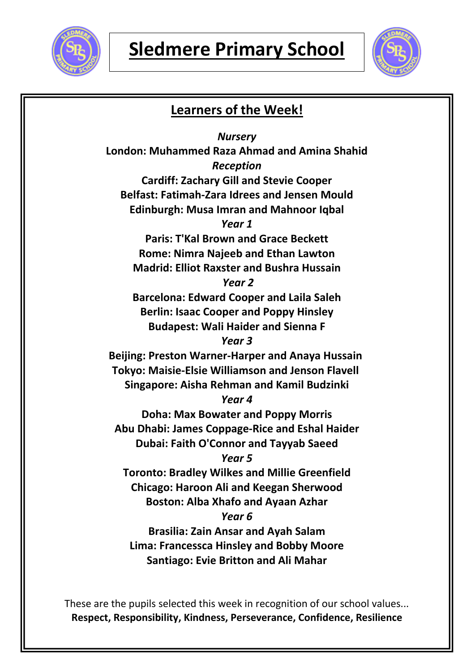



### **Learners of the Week!**

*Nursery* **London: Muhammed Raza Ahmad and Amina Shahid** *Reception* **Cardiff: Zachary Gill and Stevie Cooper Belfast: Fatimah-Zara Idrees and Jensen Mould Edinburgh: Musa Imran and Mahnoor Iqbal** *Year 1* **Paris: T'Kal Brown and Grace Beckett Rome: Nimra Najeeb and Ethan Lawton Madrid: Elliot Raxster and Bushra Hussain** *Year 2* **Barcelona: Edward Cooper and Laila Saleh Berlin: Isaac Cooper and Poppy Hinsley Budapest: Wali Haider and Sienna F** *Year 3* **Beijing: Preston Warner-Harper and Anaya Hussain Tokyo: Maisie-Elsie Williamson and Jenson Flavell Singapore: Aisha Rehman and Kamil Budzinki** *Year 4* **Doha: Max Bowater and Poppy Morris Abu Dhabi: James Coppage-Rice and Eshal Haider Dubai: Faith O'Connor and Tayyab Saeed** *Year 5* **Toronto: Bradley Wilkes and Millie Greenfield Chicago: Haroon Ali and Keegan Sherwood Boston: Alba Xhafo and Ayaan Azhar** *Year 6* **Brasilia: Zain Ansar and Ayah Salam Lima: Francessca Hinsley and Bobby Moore**

**Santiago: Evie Britton and Ali Mahar**

These are the pupils selected this week in recognition of our school values... **Respect, Responsibility, Kindness, Perseverance, Confidence, Resilience**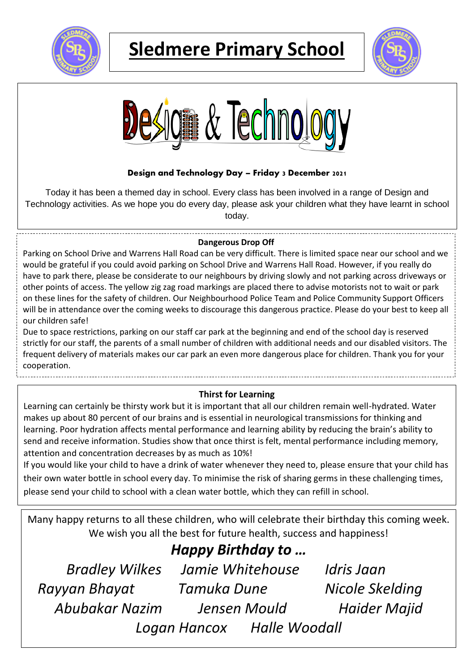

# **Sledmere Primary School**





### **Design and Technology Day – Friday 3 December 2021**

Today it has been a themed day in school. Every class has been involved in a range of Design and Technology activities. As we hope you do every day, please ask your children what they have learnt in school today.

#### **Dangerous Drop Off** A full report will follow next week

Parking on School Drive and Warrens Hall Road can be very difficult. There is limited space near our school and we would be grateful if you could avoid parking on School Drive and Warrens Hall Road. However, if you really do have to park there, please be considerate to our neighbours by driving slowly and not parking across driveways or other points of access. The yellow zig zag road markings are placed there to advise motorists not to wait or park on these lines for the safety of children. Our Neighbourhood Police Team and Police Community Support Officers will be in attendance over the coming weeks to discourage this dangerous practice. Please do your best to keep all our children safe!

Due to space restrictions, parking on our staff car park at the beginning and end of the school day is reserved strictly for our staff, the parents of a small number of children with additional needs and our disabled visitors. The frequent delivery of materials makes our car park an even more dangerous place for children. Thank you for your cooperation.

### **Thirst for Learning**

Learning can certainly be thirsty work but it is important that all our children remain well-hydrated. Water makes up about 80 percent of our brains and is essential in neurological transmissions for thinking and learning. Poor hydration affects mental performance and learning ability by reducing the brain's ability to send and receive information. Studies show that once thirst is felt, mental performance including memory, attention and concentration decreases by as much as 10%!

If you would like your child to have a drink of water whenever they need to, please ensure that your child has their own water bottle in school every day. To minimise the risk of sharing germs in these challenging times, please send your child to school with a clean water bottle, which they can refill in school.

Many happy returns to all these children, who will celebrate their birthday this coming week. We wish you all the best for future health, success and happiness!

### *Happy Birthday to …*

*Bradley Wilkes Jamie Whitehouse Idris Jaan Rayyan Bhayat Tamuka Dune Nicole Skelding Abubakar Nazim Jensen Mould Haider Majid Logan Hancox Halle Woodall*